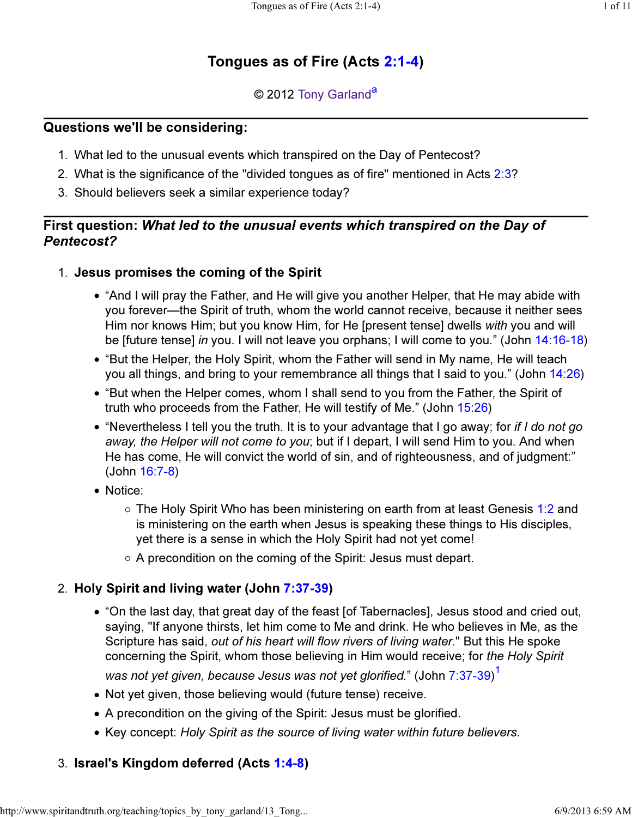# Tongues as of Fire (Acts 2:1-4)

## © 2012 Tony Garland<sup>a</sup>

## Questions we'll be considering:

- 1. What led to the unusual events which transpired on the Day of Pentecost?
- 2. What is the significance of the "divided tongues as of fire" mentioned in Acts 2:3?
- 3. Should believers seek a similar experience today?

## First question: What led to the unusual events which transpired on the Day of Pentecost?

- 1. Jesus promises the coming of the Spirit
	- "And I will pray the Father, and He will give you another Helper, that He may abide with you forever—the Spirit of truth, whom the world cannot receive, because it neither sees Him nor knows Him; but you know Him, for He [present tense] dwells with you and will be [future tense] in you. I will not leave you orphans; I will come to you." (John 14:16-18)
	- "But the Helper, the Holy Spirit, whom the Father will send in My name, He will teach you all things, and bring to your remembrance all things that I said to you." (John 14:26)
	- "But when the Helper comes, whom I shall send to you from the Father, the Spirit of truth who proceeds from the Father, He will testify of Me." (John 15:26)
	- $\bullet$  "Nevertheless I tell you the truth. It is to your advantage that I go away; for if I do not go away, the Helper will not come to you; but if I depart, I will send Him to you. And when He has come, He will convict the world of sin, and of righteousness, and of judgment:" (John 16:7-8)
	- Notice:
		- The Holy Spirit Who has been ministering on earth from at least Genesis 1:2 and is ministering on the earth when Jesus is speaking these things to His disciples, yet there is a sense in which the Holy Spirit had not yet come!
		- $\circ$  A precondition on the coming of the Spirit: Jesus must depart.

## 2. Holy Spirit and living water (John 7:37-39)

- "On the last day, that great day of the feast [of Tabernacles], Jesus stood and cried out, saying, "If anyone thirsts, let him come to Me and drink. He who believes in Me, as the Scripture has said, out of his heart will flow rivers of living water." But this He spoke concerning the Spirit, whom those believing in Him would receive; for the Holy Spirit was not yet given, because Jesus was not yet glorified." (John 7:37-39) $^\mathrm{1}$
- Not yet given, those believing would (future tense) receive.
- A precondition on the giving of the Spirit: Jesus must be glorified.
- Key concept: Holy Spirit as the source of living water within future believers.

## 3. Israel's Kingdom deferred (Acts 1:4-8)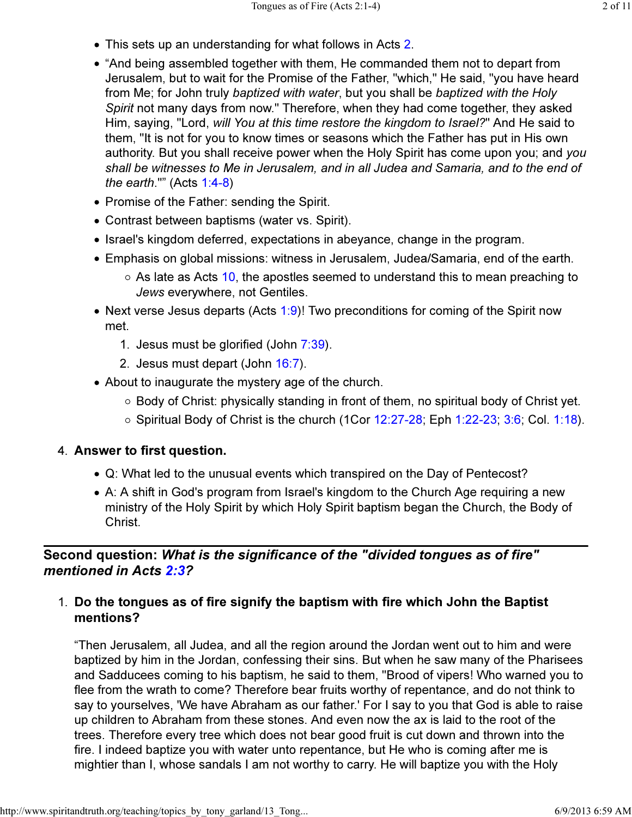- This sets up an understanding for what follows in Acts 2.
- "And being assembled together with them, He commanded them not to depart from Jerusalem, but to wait for the Promise of the Father, "which," He said, "you have heard from Me; for John truly baptized with water, but you shall be baptized with the Holy Spirit not many days from now." Therefore, when they had come together, they asked Him, saying, "Lord, will You at this time restore the kingdom to Israel?" And He said to them, "It is not for you to know times or seasons which the Father has put in His own authority. But you shall receive power when the Holy Spirit has come upon you; and you shall be witnesses to Me in Jerusalem, and in all Judea and Samaria, and to the end of the earth.""  $(Acts 1:4-8)$
- Promise of the Father: sending the Spirit.
- Contrast between baptisms (water vs. Spirit).
- Israel's kingdom deferred, expectations in abeyance, change in the program.
- Emphasis on global missions: witness in Jerusalem, Judea/Samaria, end of the earth.
	- $\circ$  As late as Acts 10, the apostles seemed to understand this to mean preaching to Jews everywhere, not Gentiles.
- Next verse Jesus departs (Acts  $1:9$ )! Two preconditions for coming of the Spirit now met.
	- 1. Jesus must be glorified (John  $7:39$ ).
	- 2. Jesus must depart (John 16:7).
- About to inaugurate the mystery age of the church.
	- $\circ$  Body of Christ: physically standing in front of them, no spiritual body of Christ yet.
	- $\circ$  Spiritual Body of Christ is the church (1Cor 12:27-28; Eph 1:22-23; 3:6; Col. 1:18).

### 4. Answer to first question.

- Q: What led to the unusual events which transpired on the Day of Pentecost?
- A: A shift in God's program from Israel's kingdom to the Church Age requiring a new ministry of the Holy Spirit by which Holy Spirit baptism began the Church, the Body of Christ.

## Second question: What is the significance of the "divided tongues as of fire" mentioned in Acts 2:3?

## 1. Do the tongues as of fire signify the baptism with fire which John the Baptist mentions?

"Then Jerusalem, all Judea, and all the region around the Jordan went out to him and were baptized by him in the Jordan, confessing their sins. But when he saw many of the Pharisees and Sadducees coming to his baptism, he said to them, "Brood of vipers! Who warned you to flee from the wrath to come? Therefore bear fruits worthy of repentance, and do not think to say to yourselves, 'We have Abraham as our father.' For I say to you that God is able to raise up children to Abraham from these stones. And even now the ax is laid to the root of the trees. Therefore every tree which does not bear good fruit is cut down and thrown into the fire. I indeed baptize you with water unto repentance, but He who is coming after me is mightier than I, whose sandals I am not worthy to carry. He will baptize you with the Holy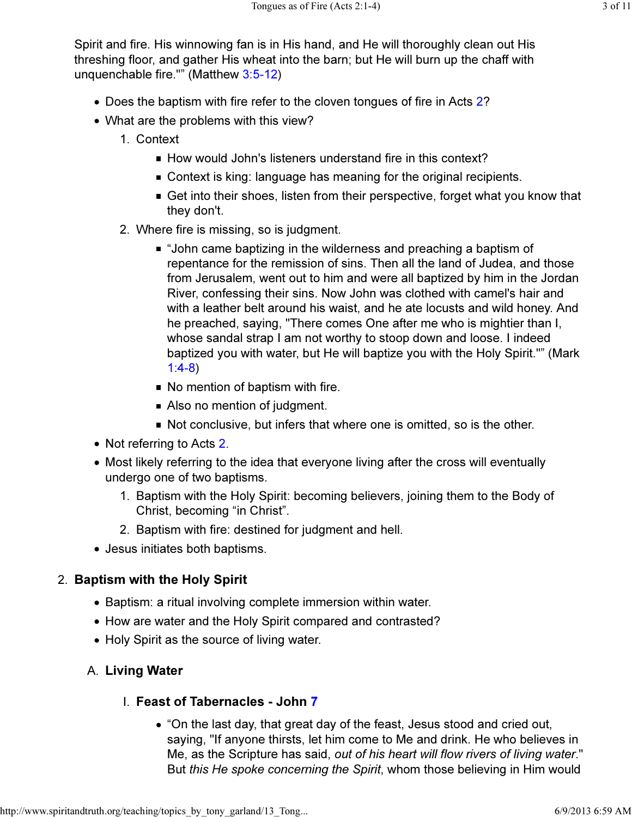Spirit and fire. His winnowing fan is in His hand, and He will thoroughly clean out His threshing floor, and gather His wheat into the barn; but He will burn up the chaff with unquenchable fire."" (Matthew 3:5-12)

- Does the baptism with fire refer to the cloven tongues of fire in Acts 2?
- What are the problems with this view?
	- 1. Context
		- $\blacksquare$  How would John's listeners understand fire in this context?
		- Context is king: language has meaning for the original recipients.
		- Get into their shoes, listen from their perspective, forget what you know that they don't.
	- 2. Where fire is missing, so is judgment.
		- "John came baptizing in the wilderness and preaching a baptism of repentance for the remission of sins. Then all the land of Judea, and those from Jerusalem, went out to him and were all baptized by him in the Jordan River, confessing their sins. Now John was clothed with camel's hair and with a leather belt around his waist, and he ate locusts and wild honey. And he preached, saying, "There comes One after me who is mightier than I, whose sandal strap I am not worthy to stoop down and loose. I indeed baptized you with water, but He will baptize you with the Holy Spirit."" (Mark 1:4-8)
		- No mention of baptism with fire.
		- Also no mention of judgment.
		- Not conclusive, but infers that where one is omitted, so is the other.
- Not referring to Acts 2.
- Most likely referring to the idea that everyone living after the cross will eventually undergo one of two baptisms.
	- 1. Baptism with the Holy Spirit: becoming believers, joining them to the Body of Christ, becoming "in Christ".
	- 2. Baptism with fire: destined for judgment and hell.
- Jesus initiates both baptisms.

## 2. Baptism with the Holy Spirit

- Baptism: a ritual involving complete immersion within water.
- How are water and the Holy Spirit compared and contrasted?
- Holy Spirit as the source of living water.

## A. Living Water

## **I. Feast of Tabernacles - John 7**

• "On the last day, that great day of the feast, Jesus stood and cried out, saying, "If anyone thirsts, let him come to Me and drink. He who believes in Me, as the Scripture has said, out of his heart will flow rivers of living water." But this He spoke concerning the Spirit, whom those believing in Him would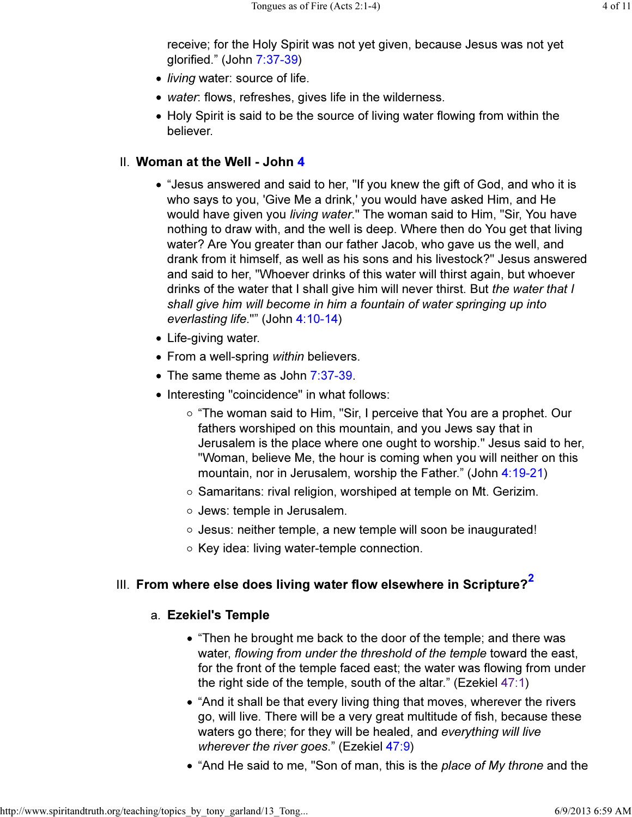receive; for the Holy Spirit was not yet given, because Jesus was not yet glorified." (John 7:37-39)

- $\bullet$  *living* water: source of life.
- water: flows, refreshes, gives life in the wilderness.
- Holy Spirit is said to be the source of living water flowing from within the believer.

### II. Woman at the Well - John 4

- "Jesus answered and said to her, "If you knew the gift of God, and who it is who says to you, 'Give Me a drink,' you would have asked Him, and He would have given you *living water*." The woman said to Him, "Sir, You have nothing to draw with, and the well is deep. Where then do You get that living water? Are You greater than our father Jacob, who gave us the well, and drank from it himself, as well as his sons and his livestock?" Jesus answered and said to her, "Whoever drinks of this water will thirst again, but whoever drinks of the water that I shall give him will never thirst. But the water that I shall give him will become in him a fountain of water springing up into everlasting life."" (John 4:10-14)
- Life-giving water.
- From a well-spring within believers.
- The same theme as John 7:37-39.
- Interesting "coincidence" in what follows:
	- $\circ$  "The woman said to Him, "Sir, I perceive that You are a prophet. Our fathers worshiped on this mountain, and you Jews say that in Jerusalem is the place where one ought to worship." Jesus said to her, "Woman, believe Me, the hour is coming when you will neither on this mountain, nor in Jerusalem, worship the Father." (John 4:19-21)
	- $\circ$  Samaritans: rival religion, worshiped at temple on Mt. Gerizim.
	- Jews: temple in Jerusalem.
	- Jesus: neither temple, a new temple will soon be inaugurated!
	- $\circ$  Key idea: living water-temple connection.

# III. From where else does living water flow elsewhere in Scripture? $\overline{^{2}}$

## a. Ezekiel's Temple

- "Then he brought me back to the door of the temple; and there was water, flowing from under the threshold of the temple toward the east, for the front of the temple faced east; the water was flowing from under the right side of the temple, south of the altar." (Ezekiel 47:1)
- "And it shall be that every living thing that moves, wherever the rivers go, will live. There will be a very great multitude of fish, because these waters go there; for they will be healed, and everything will live wherever the river goes." (Ezekiel 47:9)
- "And He said to me, "Son of man, this is the place of My throne and the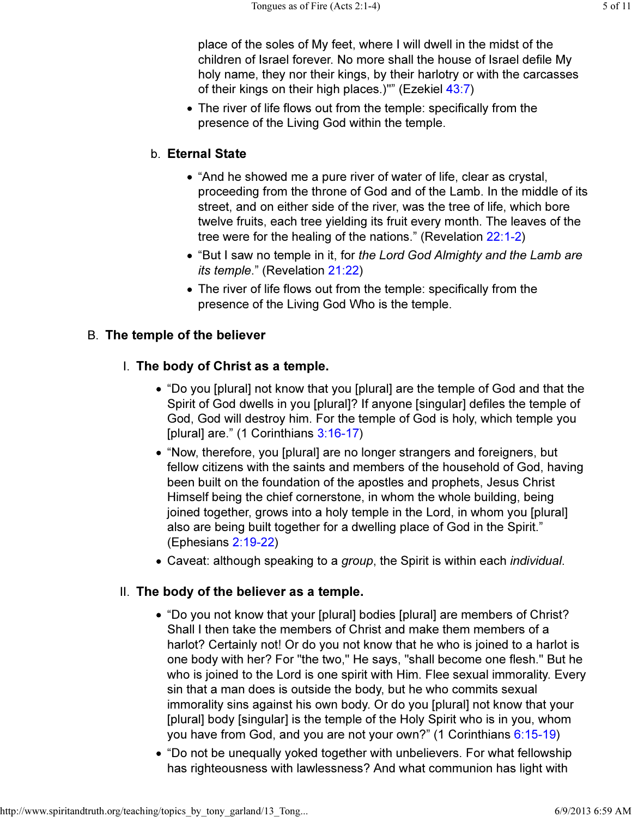place of the soles of My feet, where I will dwell in the midst of the children of Israel forever. No more shall the house of Israel defile My holy name, they nor their kings, by their harlotry or with the carcasses of their kings on their high places.)"" (Ezekiel 43:7)

The river of life flows out from the temple: specifically from the presence of the Living God within the temple.

## b. Eternal State

- "And he showed me a pure river of water of life, clear as crystal, proceeding from the throne of God and of the Lamb. In the middle of its street, and on either side of the river, was the tree of life, which bore twelve fruits, each tree yielding its fruit every month. The leaves of the tree were for the healing of the nations." (Revelation 22:1-2)
- "But I saw no temple in it, for the Lord God Almighty and the Lamb are its temple." (Revelation 21:22)
- The river of life flows out from the temple: specifically from the presence of the Living God Who is the temple.

## B. The temple of the believer

### I. The body of Christ as a temple.

- "Do you [plural] not know that you [plural] are the temple of God and that the Spirit of God dwells in you [plural]? If anyone [singular] defiles the temple of God, God will destroy him. For the temple of God is holy, which temple you [plural] are." (1 Corinthians 3:16-17)
- "Now, therefore, you [plural] are no longer strangers and foreigners, but fellow citizens with the saints and members of the household of God, having been built on the foundation of the apostles and prophets, Jesus Christ Himself being the chief cornerstone, in whom the whole building, being joined together, grows into a holy temple in the Lord, in whom you [plural] also are being built together for a dwelling place of God in the Spirit." (Ephesians 2:19-22)
- Caveat: although speaking to a group, the Spirit is within each *individual*.

#### II. The body of the believer as a temple.

- "Do you not know that your [plural] bodies [plural] are members of Christ? Shall I then take the members of Christ and make them members of a harlot? Certainly not! Or do you not know that he who is joined to a harlot is one body with her? For "the two," He says, "shall become one flesh." But he who is joined to the Lord is one spirit with Him. Flee sexual immorality. Every sin that a man does is outside the body, but he who commits sexual immorality sins against his own body. Or do you [plural] not know that your [plural] body [singular] is the temple of the Holy Spirit who is in you, whom you have from God, and you are not your own?" (1 Corinthians 6:15-19)
- "Do not be unequally yoked together with unbelievers. For what fellowship has righteousness with lawlessness? And what communion has light with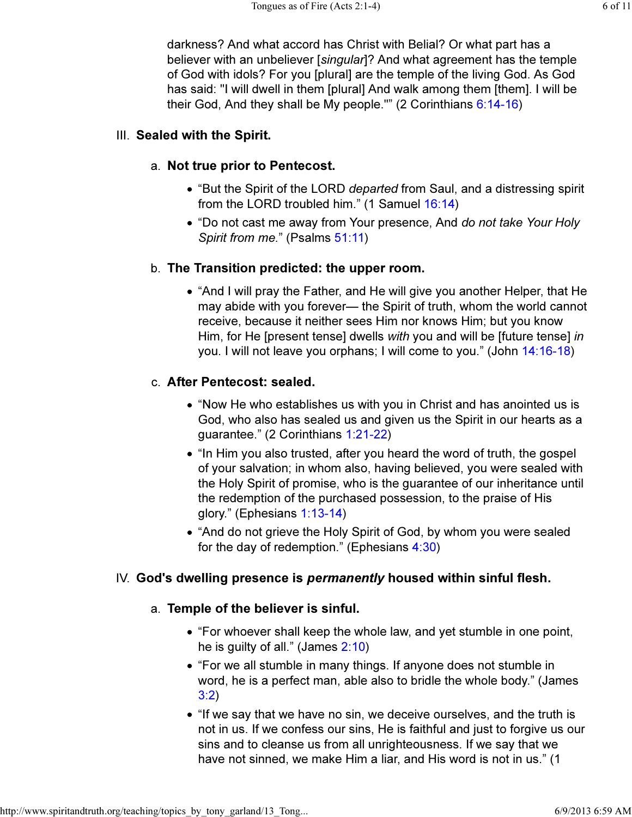darkness? And what accord has Christ with Belial? Or what part has a believer with an unbeliever [singular]? And what agreement has the temple of God with idols? For you [plural] are the temple of the living God. As God has said: "I will dwell in them [plural] And walk among them [them]. I will be their God, And they shall be My people."" (2 Corinthians 6:14-16)

### III. Sealed with the Spirit.

## a. Not true prior to Pentecost.

- "But the Spirit of the LORD *departed* from Saul, and a distressing spirit from the LORD troubled him." (1 Samuel 16:14)
- "Do not cast me away from Your presence, And do not take Your Holy Spirit from me." (Psalms 51:11)

### b. The Transition predicted: the upper room.

"And I will pray the Father, and He will give you another Helper, that He may abide with you forever— the Spirit of truth, whom the world cannot receive, because it neither sees Him nor knows Him; but you know Him, for He [present tense] dwells with you and will be [future tense] in you. I will not leave you orphans; I will come to you." (John 14:16-18)

### c. After Pentecost: sealed.

- "Now He who establishes us with you in Christ and has anointed us is God, who also has sealed us and given us the Spirit in our hearts as a guarantee." (2 Corinthians 1:21-22)
- "In Him you also trusted, after you heard the word of truth, the gospel of your salvation; in whom also, having believed, you were sealed with the Holy Spirit of promise, who is the guarantee of our inheritance until the redemption of the purchased possession, to the praise of His glory." (Ephesians 1:13-14)
- "And do not grieve the Holy Spirit of God, by whom you were sealed for the day of redemption." (Ephesians 4:30)

#### IV. God's dwelling presence is *permanently* housed within sinful flesh.

#### Temple of the believer is sinful. a.

- "For whoever shall keep the whole law, and yet stumble in one point, he is guilty of all." (James 2:10)
- "For we all stumble in many things. If anyone does not stumble in word, he is a perfect man, able also to bridle the whole body." (James 3:2)
- "If we say that we have no sin, we deceive ourselves, and the truth is not in us. If we confess our sins, He is faithful and just to forgive us our sins and to cleanse us from all unrighteousness. If we say that we have not sinned, we make Him a liar, and His word is not in us." (1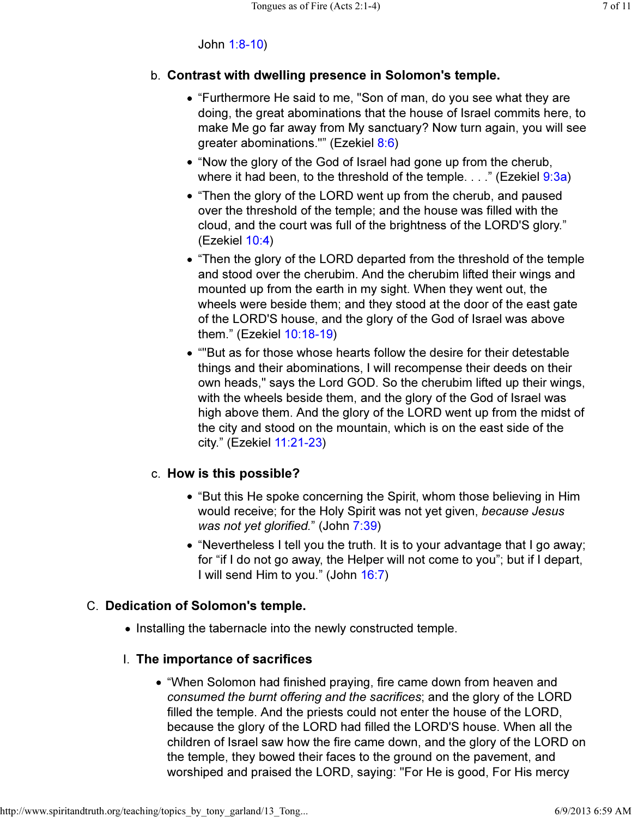## John 1:8-10)

## b. Contrast with dwelling presence in Solomon's temple.

- "Furthermore He said to me, "Son of man, do you see what they are doing, the great abominations that the house of Israel commits here, to make Me go far away from My sanctuary? Now turn again, you will see greater abominations."" (Ezekiel 8:6)
- "Now the glory of the God of Israel had gone up from the cherub, where it had been, to the threshold of the temple.  $\ldots$ " (Ezekiel 9:3a)
- "Then the glory of the LORD went up from the cherub, and paused over the threshold of the temple; and the house was filled with the cloud, and the court was full of the brightness of the LORD'S glory." (Ezekiel 10:4)
- "Then the glory of the LORD departed from the threshold of the temple and stood over the cherubim. And the cherubim lifted their wings and mounted up from the earth in my sight. When they went out, the wheels were beside them; and they stood at the door of the east gate of the LORD'S house, and the glory of the God of Israel was above them." (Ezekiel 10:18-19)
- ""But as for those whose hearts follow the desire for their detestable things and their abominations, I will recompense their deeds on their own heads," says the Lord GOD. So the cherubim lifted up their wings, with the wheels beside them, and the glory of the God of Israel was high above them. And the glory of the LORD went up from the midst of the city and stood on the mountain, which is on the east side of the city." (Ezekiel 11:21-23)

## c. How is this possible?

- "But this He spoke concerning the Spirit, whom those believing in Him would receive; for the Holy Spirit was not yet given, because Jesus was not yet glorified." (John 7:39)
- "Nevertheless I tell you the truth. It is to your advantage that I go away; for "if I do not go away, the Helper will not come to you"; but if I depart, I will send Him to you." (John 16:7)

## C. Dedication of Solomon's temple.

• Installing the tabernacle into the newly constructed temple.

## I. The importance of sacrifices

• "When Solomon had finished praying, fire came down from heaven and consumed the burnt offering and the sacrifices; and the glory of the LORD filled the temple. And the priests could not enter the house of the LORD, because the glory of the LORD had filled the LORD'S house. When all the children of Israel saw how the fire came down, and the glory of the LORD on the temple, they bowed their faces to the ground on the pavement, and worshiped and praised the LORD, saying: "For He is good, For His mercy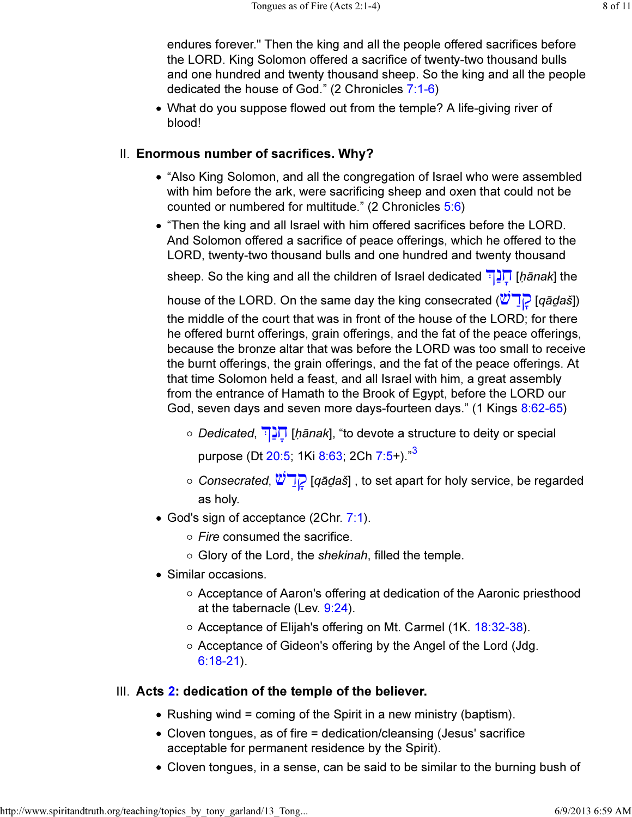endures forever." Then the king and all the people offered sacrifices before the LORD. King Solomon offered a sacrifice of twenty-two thousand bulls and one hundred and twenty thousand sheep. So the king and all the people dedicated the house of God." (2 Chronicles 7:1-6)

What do you suppose flowed out from the temple? A life-giving river of blood!

## II. Enormous number of sacrifices. Why?

- "Also King Solomon, and all the congregation of Israel who were assembled with him before the ark, were sacrificing sheep and oxen that could not be counted or numbered for multitude." (2 Chronicles 5:6)
- "Then the king and all Israel with him offered sacrifices before the LORD. And Solomon offered a sacrifice of peace offerings, which he offered to the LORD, twenty-two thousand bulls and one hundred and twenty thousand

sheep. So the king and all the children of Israel dedicated  $\frac{1}{2}$  $\left[$  [hanak] the

house of the LORD. On the same day the king consecrated  $(\sqrt[n]{\cdot}$  [*q*ā*daš*]) the middle of the court that was in front of the house of the LORD; for there he offered burnt offerings, grain offerings, and the fat of the peace offerings, because the bronze altar that was before the LORD was too small to receive the burnt offerings, the grain offerings, and the fat of the peace offerings. At that time Solomon held a feast, and all Israel with him, a great assembly from the entrance of Hamath to the Brook of Egypt, before the LORD our God, seven days and seven more days-fourteen days." (1 Kings 8:62-65)

- Dedicated, ַנ ָח] ḥānak], "to devote a structure to deity or special purpose (Dt 20:5; 1Ki 8:63; 2Ch 7:5+)."<sup>3</sup>
- $\circ$  Consecrated,  $\mathcal{O}$   $\Box$  [qād̪aš], to set apart for holy service, be regarded as holy.
- God's sign of acceptance (2Chr. 7:1).
	- $\circ$  Fire consumed the sacrifice.
	- $\circ$  Glory of the Lord, the shekinah, filled the temple.
- Similar occasions.
	- $\circ$  Acceptance of Aaron's offering at dedication of the Aaronic priesthood at the tabernacle (Lev. 9:24).
	- Acceptance of Elijah's offering on Mt. Carmel (1K. 18:32-38).
	- Acceptance of Gideon's offering by the Angel of the Lord (Jdg. 6:18-21).

## III. Acts 2: dedication of the temple of the believer.

- Rushing wind = coming of the Spirit in a new ministry (baptism).
- Cloven tongues, as of fire = dedication/cleansing (Jesus' sacrifice acceptable for permanent residence by the Spirit).
- Cloven tongues, in a sense, can be said to be similar to the burning bush of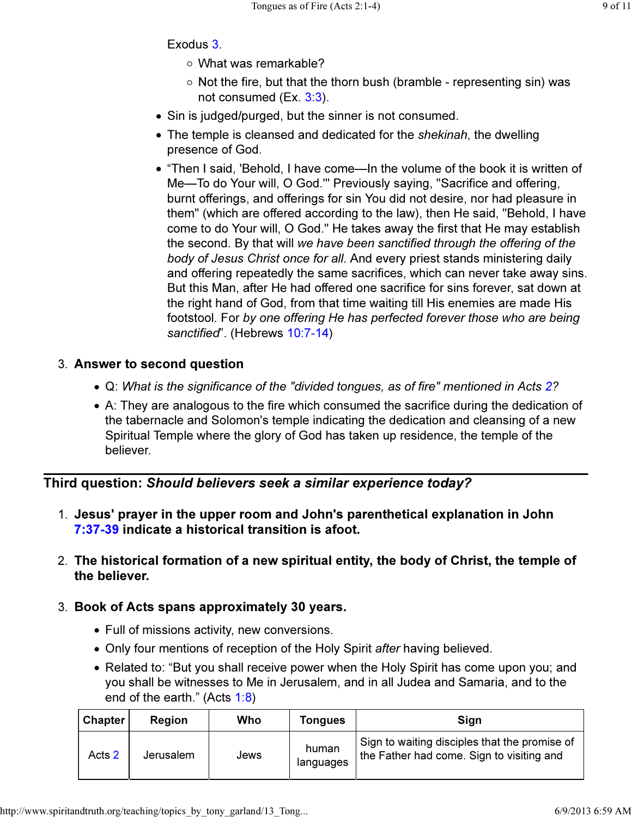## Exodus 3.

- What was remarkable?
- $\circ$  Not the fire, but that the thorn bush (bramble representing sin) was not consumed (Ex. 3:3).
- Sin is judged/purged, but the sinner is not consumed.
- The temple is cleansed and dedicated for the *shekinah*, the dwelling presence of God.
- "Then I said, 'Behold, I have come—In the volume of the book it is written of Me—To do Your will, O God.'" Previously saying, "Sacrifice and offering, burnt offerings, and offerings for sin You did not desire, nor had pleasure in them" (which are offered according to the law), then He said, "Behold, I have come to do Your will, O God." He takes away the first that He may establish the second. By that will we have been sanctified through the offering of the body of Jesus Christ once for all. And every priest stands ministering daily and offering repeatedly the same sacrifices, which can never take away sins. But this Man, after He had offered one sacrifice for sins forever, sat down at the right hand of God, from that time waiting till His enemies are made His footstool. For by one offering He has perfected forever those who are being sanctified". (Hebrews 10:7-14)

## 3. Answer to second question

- Q: What is the significance of the "divided tongues, as of fire" mentioned in Acts 2?
- A: They are analogous to the fire which consumed the sacrifice during the dedication of the tabernacle and Solomon's temple indicating the dedication and cleansing of a new Spiritual Temple where the glory of God has taken up residence, the temple of the believer.

Third question: Should believers seek a similar experience today?

- 1. Jesus' prayer in the upper room and John's parenthetical explanation in John 7:37-39 indicate a historical transition is afoot.
- The historical formation of a new spiritual entity, the body of Christ, the temple of 2. the believer.

## 3. Book of Acts spans approximately 30 years.

- Full of missions activity, new conversions.
- Only four mentions of reception of the Holy Spirit after having believed.
- Related to: "But you shall receive power when the Holy Spirit has come upon you; and you shall be witnesses to Me in Jerusalem, and in all Judea and Samaria, and to the end of the earth." (Acts 1:8)

| <b>Chapter</b> | Region    | Who  | Tongues            | Sign                                                                                       |
|----------------|-----------|------|--------------------|--------------------------------------------------------------------------------------------|
| Acts 2         | Jerusalem | Jews | human<br>languages | Sign to waiting disciples that the promise of<br>the Father had come. Sign to visiting and |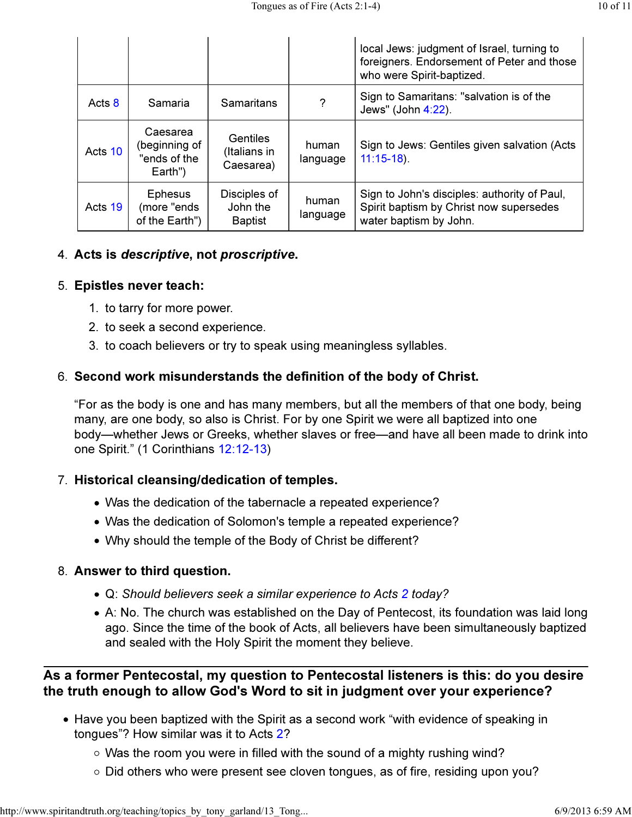|         |                                                      |                                              |                   | local Jews: judgment of Israel, turning to<br>foreigners. Endorsement of Peter and those<br>who were Spirit-baptized. |
|---------|------------------------------------------------------|----------------------------------------------|-------------------|-----------------------------------------------------------------------------------------------------------------------|
| Acts 8  | Samaria                                              | Samaritans                                   | ?                 | Sign to Samaritans: "salvation is of the<br>Jews" (John 4:22).                                                        |
| Acts 10 | Caesarea<br>(beginning of<br>"ends of the<br>Earth") | <b>Gentiles</b><br>(Italians in<br>Caesarea) | human<br>language | Sign to Jews: Gentiles given salvation (Acts<br>$11:15-18$ ).                                                         |
| Acts 19 | <b>Ephesus</b><br>(more "ends<br>of the Earth")      | Disciples of<br>John the<br><b>Baptist</b>   | human<br>language | Sign to John's disciples: authority of Paul,<br>Spirit baptism by Christ now supersedes<br>water baptism by John.     |

## 4. Acts is descriptive, not proscriptive.

## 5. Epistles never teach:

- 1. to tarry for more power.
- 2. to seek a second experience.
- 3. to coach believers or try to speak using meaningless syllables.

## Second work misunderstands the definition of the body of Christ. 6.

"For as the body is one and has many members, but all the members of that one body, being many, are one body, so also is Christ. For by one Spirit we were all baptized into one body—whether Jews or Greeks, whether slaves or free—and have all been made to drink into one Spirit." (1 Corinthians 12:12-13)

## 7. Historical cleansing/dedication of temples.

- Was the dedication of the tabernacle a repeated experience?
- Was the dedication of Solomon's temple a repeated experience?
- Why should the temple of the Body of Christ be different?

## 8. Answer to third question.

- Q: Should believers seek a similar experience to Acts 2 today?
- A: No. The church was established on the Day of Pentecost, its foundation was laid long ago. Since the time of the book of Acts, all believers have been simultaneously baptized and sealed with the Holy Spirit the moment they believe.

## As a former Pentecostal, my question to Pentecostal listeners is this: do you desire the truth enough to allow God's Word to sit in judgment over your experience?

- Have you been baptized with the Spirit as a second work "with evidence of speaking in tongues"? How similar was it to Acts 2?
	- Was the room you were in filled with the sound of a mighty rushing wind?
	- $\circ$  Did others who were present see cloven tongues, as of fire, residing upon you?